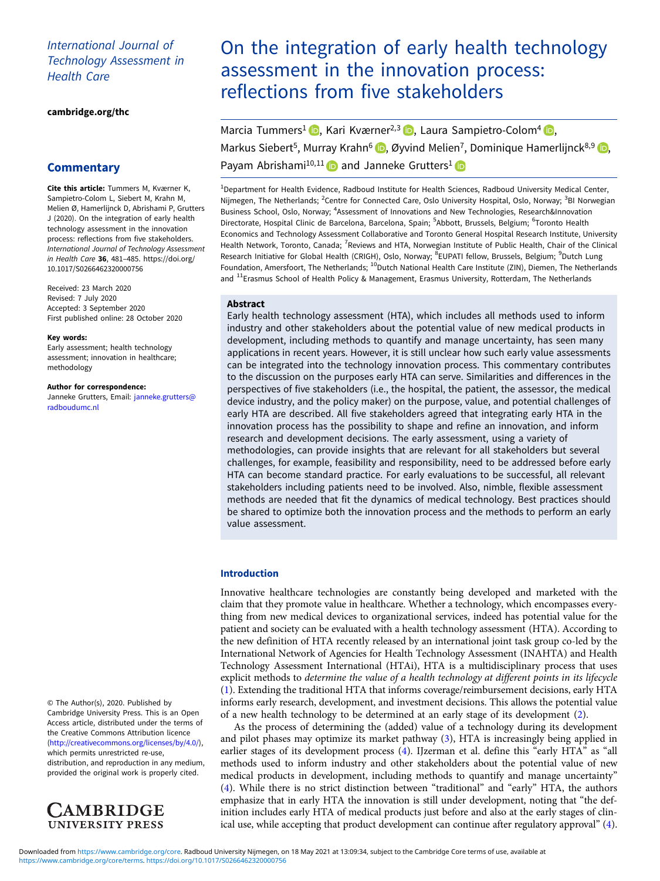# International Journal of Technology Assessment in Health Care

[cambridge.org/thc](https://www.cambridge.org/thc)

# **Commentary**

Cite this article: Tummers M, Kværner K, Sampietro-Colom L, Siebert M, Krahn M, Melien Ø, Hamerlijnck D, Abrishami P, Grutters J (2020). On the integration of early health technology assessment in the innovation process: reflections from five stakeholders.<br>International Journal of Technology Assessment International Central of Technology Assessment<br>in Health Care 36, 481–485. [https://doi.org/](https://doi.org/10.1017/S0266462320000756)<br>10.1017/S0266462320000756 [10.1017/S0266462320000756](https://doi.org/10.1017/S0266462320000756)

Received: 23 March 2020 Revised: 7 July 2020 Accepted: 3 September 2020 First published online: 28 October 2020

#### Key words:

Early assessment; health technology assessment; innovation in healthcare; methodology

Author for correspondence: Janneke Grutters, Email: [janneke.grutters@](mailto:janneke.grutters@radboudumc.nl) [radboudumc.nl](mailto:janneke.grutters@radboudumc.nl)

© The Author(s), 2020. Published by Cambridge University Press. This is an Open Access article, distributed under the terms of the Creative Commons Attribution licence ([http://creativecommons.org/licenses/by/4.0/\)](http://creativecommons.org/licenses/by/4.0/), which permits unrestricted re-use, distribution, and reproduction in any medium, provided the original work is properly cited.



# On the integration of early health technology assessment in the innovation process: reflections from five stakeholders

Marcia Tummers<sup>1</sup> **D**[,](https://orcid.org/0000-0001-7182-0231) Kari Kværner<sup>2,3</sup> D, Laura Sampietro-Colom<sup>4</sup> D, Markus Siebert<sup>5</sup>, Murray Krahn<sup>6</sup> (D), Øyvind Melien<sup>7</sup>, Dominique Hamerlijnck<sup>8,9</sup> (D), Payam Abrishami<sup>10,11</sup> and Janneke Grutters<sup>1</sup>

<sup>1</sup>Department for Health Evidence, Radboud Institute for Health Sciences, Radboud University Medical Center, Nijmegen, The Netherlands; <sup>2</sup>Centre for Connected Care, Oslo University Hospital, Oslo, Norway; <sup>3</sup>BI Norwegian Business School, Oslo, Norway; <sup>4</sup>Assessment of Innovations and New Technologies, Research&Innovation Directorate, Hospital Clinic de Barcelona, Barcelona, Spain; <sup>5</sup>Abbott, Brussels, Belgium; <sup>6</sup>Toronto Health Economics and Technology Assessment Collaborative and Toronto General Hospital Research Institute, University Health Network, Toronto, Canada; <sup>7</sup>Reviews and HTA, Norwegian Institute of Public Health, Chair of the Clinical Research Initiative for Global Health (CRIGH), Oslo, Norway; <sup>8</sup>EUPATI fellow, Brussels, Belgium; <sup>9</sup>Dutch Lung Foundation, Amersfoort, The Netherlands; <sup>10</sup>Dutch National Health Care Institute (ZIN), Diemen, The Netherlands and <sup>11</sup>Erasmus School of Health Policy & Management, Erasmus University, Rotterdam, The Netherlands

# Abstract

Early health technology assessment (HTA), which includes all methods used to inform industry and other stakeholders about the potential value of new medical products in development, including methods to quantify and manage uncertainty, has seen many applications in recent years. However, it is still unclear how such early value assessments can be integrated into the technology innovation process. This commentary contributes to the discussion on the purposes early HTA can serve. Similarities and differences in the perspectives of five stakeholders (i.e., the hospital, the patient, the assessor, the medical device industry, and the policy maker) on the purpose, value, and potential challenges of early HTA are described. All five stakeholders agreed that integrating early HTA in the innovation process has the possibility to shape and refine an innovation, and inform research and development decisions. The early assessment, using a variety of methodologies, can provide insights that are relevant for all stakeholders but several challenges, for example, feasibility and responsibility, need to be addressed before early HTA can become standard practice. For early evaluations to be successful, all relevant stakeholders including patients need to be involved. Also, nimble, flexible assessment methods are needed that fit the dynamics of medical technology. Best practices should be shared to optimize both the innovation process and the methods to perform an early value assessment.

# Introduction

Innovative healthcare technologies are constantly being developed and marketed with the claim that they promote value in healthcare. Whether a technology, which encompasses everything from new medical devices to organizational services, indeed has potential value for the patient and society can be evaluated with a health technology assessment (HTA). According to the new definition of HTA recently released by an international joint task group co-led by the International Network of Agencies for Health Technology Assessment (INAHTA) and Health Technology Assessment International (HTAi), HTA is a multidisciplinary process that uses explicit methods to determine the value of a health technology at different points in its lifecycle ([1](#page-3-0)). Extending the traditional HTA that informs coverage/reimbursement decisions, early HTA informs early research, development, and investment decisions. This allows the potential value of a new health technology to be determined at an early stage of its development ([2](#page-3-0)).

As the process of determining the (added) value of a technology during its development and pilot phases may optimize its market pathway ([3\)](#page-3-0), HTA is increasingly being applied in earlier stages of its development process ([4](#page-4-0)). IJzerman et al. define this "early HTA" as "all methods used to inform industry and other stakeholders about the potential value of new medical products in development, including methods to quantify and manage uncertainty" ([4](#page-4-0)). While there is no strict distinction between "traditional" and "early" HTA, the authors emphasize that in early HTA the innovation is still under development, noting that "the definition includes early HTA of medical products just before and also at the early stages of clinical use, while accepting that product development can continue after regulatory approval" ([4](#page-4-0)).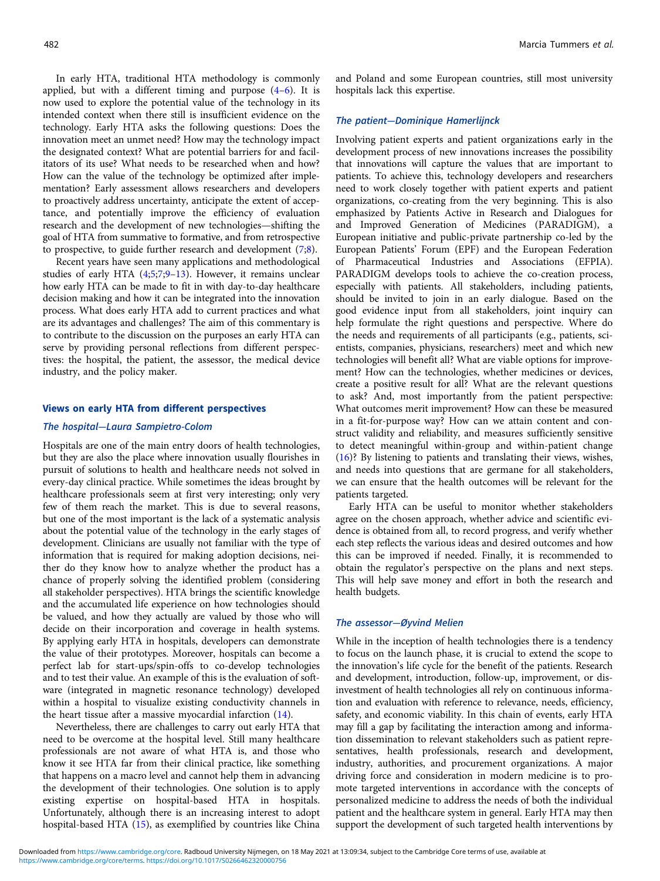In early HTA, traditional HTA methodology is commonly applied, but with a different timing and purpose  $(4-6)$  $(4-6)$  $(4-6)$  $(4-6)$ . It is now used to explore the potential value of the technology in its intended context when there still is insufficient evidence on the technology. Early HTA asks the following questions: Does the innovation meet an unmet need? How may the technology impact the designated context? What are potential barriers for and facilitators of its use? What needs to be researched when and how? How can the value of the technology be optimized after implementation? Early assessment allows researchers and developers to proactively address uncertainty, anticipate the extent of acceptance, and potentially improve the efficiency of evaluation research and the development of new technologies—shifting the goal of HTA from summative to formative, and from retrospective to prospective, to guide further research and development [\(7;8](#page-4-0)).

Recent years have seen many applications and methodological studies of early HTA ([4;5;7;9](#page-4-0)–[13](#page-4-0)). However, it remains unclear how early HTA can be made to fit in with day-to-day healthcare decision making and how it can be integrated into the innovation process. What does early HTA add to current practices and what are its advantages and challenges? The aim of this commentary is to contribute to the discussion on the purposes an early HTA can serve by providing personal reflections from different perspectives: the hospital, the patient, the assessor, the medical device industry, and the policy maker.

# Views on early HTA from different perspectives

# The hospital—Laura Sampietro-Colom

Hospitals are one of the main entry doors of health technologies, but they are also the place where innovation usually flourishes in pursuit of solutions to health and healthcare needs not solved in every-day clinical practice. While sometimes the ideas brought by healthcare professionals seem at first very interesting; only very few of them reach the market. This is due to several reasons, but one of the most important is the lack of a systematic analysis about the potential value of the technology in the early stages of development. Clinicians are usually not familiar with the type of information that is required for making adoption decisions, neither do they know how to analyze whether the product has a chance of properly solving the identified problem (considering all stakeholder perspectives). HTA brings the scientific knowledge and the accumulated life experience on how technologies should be valued, and how they actually are valued by those who will decide on their incorporation and coverage in health systems. By applying early HTA in hospitals, developers can demonstrate the value of their prototypes. Moreover, hospitals can become a perfect lab for start-ups/spin-offs to co-develop technologies and to test their value. An example of this is the evaluation of software (integrated in magnetic resonance technology) developed within a hospital to visualize existing conductivity channels in the heart tissue after a massive myocardial infarction [\(14](#page-4-0)).

Nevertheless, there are challenges to carry out early HTA that need to be overcome at the hospital level. Still many healthcare professionals are not aware of what HTA is, and those who know it see HTA far from their clinical practice, like something that happens on a macro level and cannot help them in advancing the development of their technologies. One solution is to apply existing expertise on hospital-based HTA in hospitals. Unfortunately, although there is an increasing interest to adopt hospital-based HTA [\(15](#page-4-0)), as exemplified by countries like China

and Poland and some European countries, still most university hospitals lack this expertise.

# The patient—Dominique Hamerlijnck

Involving patient experts and patient organizations early in the development process of new innovations increases the possibility that innovations will capture the values that are important to patients. To achieve this, technology developers and researchers need to work closely together with patient experts and patient organizations, co-creating from the very beginning. This is also emphasized by Patients Active in Research and Dialogues for and Improved Generation of Medicines (PARADIGM), a European initiative and public-private partnership co-led by the European Patients' Forum (EPF) and the European Federation of Pharmaceutical Industries and Associations (EFPIA). PARADIGM develops tools to achieve the co-creation process, especially with patients. All stakeholders, including patients, should be invited to join in an early dialogue. Based on the good evidence input from all stakeholders, joint inquiry can help formulate the right questions and perspective. Where do the needs and requirements of all participants (e.g., patients, scientists, companies, physicians, researchers) meet and which new technologies will benefit all? What are viable options for improvement? How can the technologies, whether medicines or devices, create a positive result for all? What are the relevant questions to ask? And, most importantly from the patient perspective: What outcomes merit improvement? How can these be measured in a fit-for-purpose way? How can we attain content and construct validity and reliability, and measures sufficiently sensitive to detect meaningful within-group and within-patient change [\(16](#page-4-0))? By listening to patients and translating their views, wishes, and needs into questions that are germane for all stakeholders, we can ensure that the health outcomes will be relevant for the patients targeted.

Early HTA can be useful to monitor whether stakeholders agree on the chosen approach, whether advice and scientific evidence is obtained from all, to record progress, and verify whether each step reflects the various ideas and desired outcomes and how this can be improved if needed. Finally, it is recommended to obtain the regulator's perspective on the plans and next steps. This will help save money and effort in both the research and health budgets.

# The assessor—Øyvind Melien

While in the inception of health technologies there is a tendency to focus on the launch phase, it is crucial to extend the scope to the innovation's life cycle for the benefit of the patients. Research and development, introduction, follow-up, improvement, or disinvestment of health technologies all rely on continuous information and evaluation with reference to relevance, needs, efficiency, safety, and economic viability. In this chain of events, early HTA may fill a gap by facilitating the interaction among and information dissemination to relevant stakeholders such as patient representatives, health professionals, research and development, industry, authorities, and procurement organizations. A major driving force and consideration in modern medicine is to promote targeted interventions in accordance with the concepts of personalized medicine to address the needs of both the individual patient and the healthcare system in general. Early HTA may then support the development of such targeted health interventions by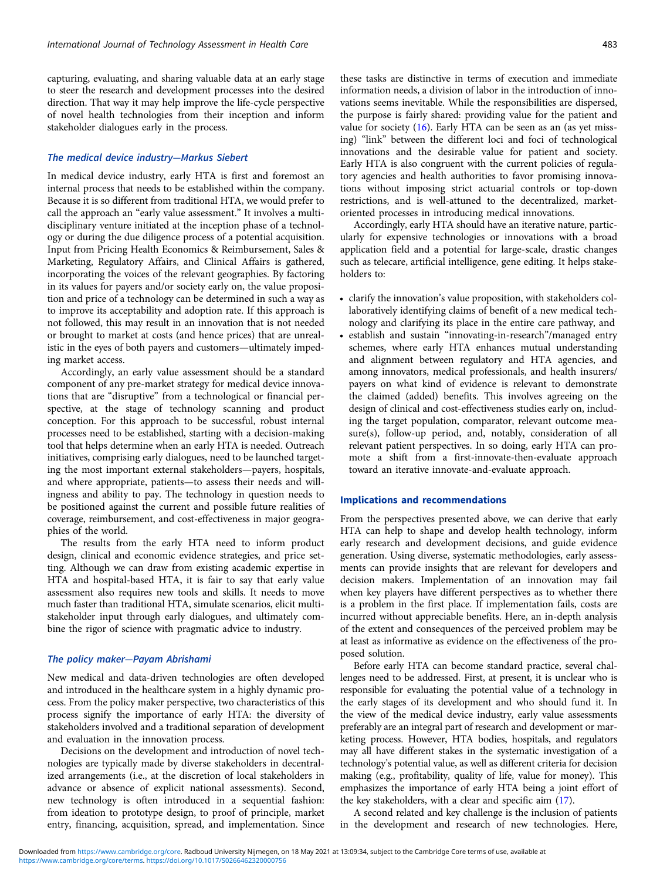capturing, evaluating, and sharing valuable data at an early stage to steer the research and development processes into the desired direction. That way it may help improve the life-cycle perspective of novel health technologies from their inception and inform stakeholder dialogues early in the process.

#### The medical device industry—Markus Siebert

In medical device industry, early HTA is first and foremost an internal process that needs to be established within the company. Because it is so different from traditional HTA, we would prefer to call the approach an "early value assessment." It involves a multidisciplinary venture initiated at the inception phase of a technology or during the due diligence process of a potential acquisition. Input from Pricing Health Economics & Reimbursement, Sales & Marketing, Regulatory Affairs, and Clinical Affairs is gathered, incorporating the voices of the relevant geographies. By factoring in its values for payers and/or society early on, the value proposition and price of a technology can be determined in such a way as to improve its acceptability and adoption rate. If this approach is not followed, this may result in an innovation that is not needed or brought to market at costs (and hence prices) that are unrealistic in the eyes of both payers and customers—ultimately impeding market access.

Accordingly, an early value assessment should be a standard component of any pre-market strategy for medical device innovations that are "disruptive" from a technological or financial perspective, at the stage of technology scanning and product conception. For this approach to be successful, robust internal processes need to be established, starting with a decision-making tool that helps determine when an early HTA is needed. Outreach initiatives, comprising early dialogues, need to be launched targeting the most important external stakeholders—payers, hospitals, and where appropriate, patients—to assess their needs and willingness and ability to pay. The technology in question needs to be positioned against the current and possible future realities of coverage, reimbursement, and cost-effectiveness in major geographies of the world.

The results from the early HTA need to inform product design, clinical and economic evidence strategies, and price setting. Although we can draw from existing academic expertise in HTA and hospital-based HTA, it is fair to say that early value assessment also requires new tools and skills. It needs to move much faster than traditional HTA, simulate scenarios, elicit multistakeholder input through early dialogues, and ultimately combine the rigor of science with pragmatic advice to industry.

#### The policy maker—Payam Abrishami

New medical and data-driven technologies are often developed and introduced in the healthcare system in a highly dynamic process. From the policy maker perspective, two characteristics of this process signify the importance of early HTA: the diversity of stakeholders involved and a traditional separation of development and evaluation in the innovation process.

Decisions on the development and introduction of novel technologies are typically made by diverse stakeholders in decentralized arrangements (i.e., at the discretion of local stakeholders in advance or absence of explicit national assessments). Second, new technology is often introduced in a sequential fashion: from ideation to prototype design, to proof of principle, market entry, financing, acquisition, spread, and implementation. Since

these tasks are distinctive in terms of execution and immediate information needs, a division of labor in the introduction of innovations seems inevitable. While the responsibilities are dispersed, the purpose is fairly shared: providing value for the patient and value for society ([16](#page-4-0)). Early HTA can be seen as an (as yet missing) "link" between the different loci and foci of technological innovations and the desirable value for patient and society. Early HTA is also congruent with the current policies of regulatory agencies and health authorities to favor promising innovations without imposing strict actuarial controls or top-down restrictions, and is well-attuned to the decentralized, marketoriented processes in introducing medical innovations.

Accordingly, early HTA should have an iterative nature, particularly for expensive technologies or innovations with a broad application field and a potential for large-scale, drastic changes such as telecare, artificial intelligence, gene editing. It helps stakeholders to:

- clarify the innovation's value proposition, with stakeholders collaboratively identifying claims of benefit of a new medical technology and clarifying its place in the entire care pathway, and
- establish and sustain "innovating-in-research"/managed entry schemes, where early HTA enhances mutual understanding and alignment between regulatory and HTA agencies, and among innovators, medical professionals, and health insurers/ payers on what kind of evidence is relevant to demonstrate the claimed (added) benefits. This involves agreeing on the design of clinical and cost-effectiveness studies early on, including the target population, comparator, relevant outcome measure(s), follow-up period, and, notably, consideration of all relevant patient perspectives. In so doing, early HTA can promote a shift from a first-innovate-then-evaluate approach toward an iterative innovate-and-evaluate approach.

#### Implications and recommendations

From the perspectives presented above, we can derive that early HTA can help to shape and develop health technology, inform early research and development decisions, and guide evidence generation. Using diverse, systematic methodologies, early assessments can provide insights that are relevant for developers and decision makers. Implementation of an innovation may fail when key players have different perspectives as to whether there is a problem in the first place. If implementation fails, costs are incurred without appreciable benefits. Here, an in-depth analysis of the extent and consequences of the perceived problem may be at least as informative as evidence on the effectiveness of the proposed solution.

Before early HTA can become standard practice, several challenges need to be addressed. First, at present, it is unclear who is responsible for evaluating the potential value of a technology in the early stages of its development and who should fund it. In the view of the medical device industry, early value assessments preferably are an integral part of research and development or marketing process. However, HTA bodies, hospitals, and regulators may all have different stakes in the systematic investigation of a technology's potential value, as well as different criteria for decision making (e.g., profitability, quality of life, value for money). This emphasizes the importance of early HTA being a joint effort of the key stakeholders, with a clear and specific aim [\(17\)](#page-4-0).

A second related and key challenge is the inclusion of patients in the development and research of new technologies. Here,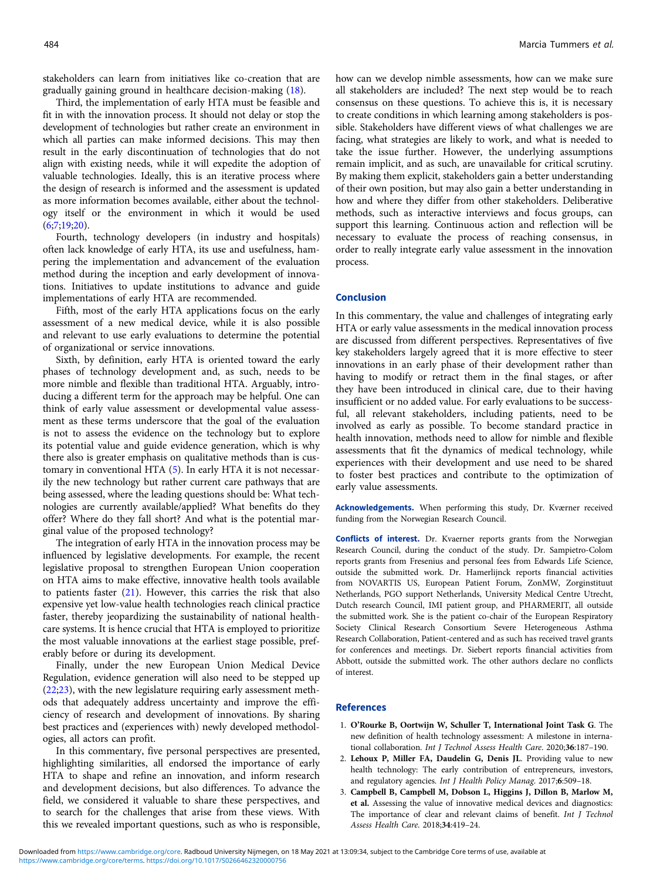<span id="page-3-0"></span>stakeholders can learn from initiatives like co-creation that are gradually gaining ground in healthcare decision-making ([18\)](#page-4-0).

Third, the implementation of early HTA must be feasible and fit in with the innovation process. It should not delay or stop the development of technologies but rather create an environment in which all parties can make informed decisions. This may then result in the early discontinuation of technologies that do not align with existing needs, while it will expedite the adoption of valuable technologies. Ideally, this is an iterative process where the design of research is informed and the assessment is updated as more information becomes available, either about the technology itself or the environment in which it would be used  $(6;7;19;20)$  $(6;7;19;20)$  $(6;7;19;20)$ .

Fourth, technology developers (in industry and hospitals) often lack knowledge of early HTA, its use and usefulness, hampering the implementation and advancement of the evaluation method during the inception and early development of innovations. Initiatives to update institutions to advance and guide implementations of early HTA are recommended.

Fifth, most of the early HTA applications focus on the early assessment of a new medical device, while it is also possible and relevant to use early evaluations to determine the potential of organizational or service innovations.

Sixth, by definition, early HTA is oriented toward the early phases of technology development and, as such, needs to be more nimble and flexible than traditional HTA. Arguably, introducing a different term for the approach may be helpful. One can think of early value assessment or developmental value assessment as these terms underscore that the goal of the evaluation is not to assess the evidence on the technology but to explore its potential value and guide evidence generation, which is why there also is greater emphasis on qualitative methods than is customary in conventional HTA [\(5\)](#page-4-0). In early HTA it is not necessarily the new technology but rather current care pathways that are being assessed, where the leading questions should be: What technologies are currently available/applied? What benefits do they offer? Where do they fall short? And what is the potential marginal value of the proposed technology?

The integration of early HTA in the innovation process may be influenced by legislative developments. For example, the recent legislative proposal to strengthen European Union cooperation on HTA aims to make effective, innovative health tools available to patients faster ([21\)](#page-4-0). However, this carries the risk that also expensive yet low-value health technologies reach clinical practice faster, thereby jeopardizing the sustainability of national healthcare systems. It is hence crucial that HTA is employed to prioritize the most valuable innovations at the earliest stage possible, preferably before or during its development.

Finally, under the new European Union Medical Device Regulation, evidence generation will also need to be stepped up ([22;23](#page-4-0)), with the new legislature requiring early assessment methods that adequately address uncertainty and improve the efficiency of research and development of innovations. By sharing best practices and (experiences with) newly developed methodologies, all actors can profit.

In this commentary, five personal perspectives are presented, highlighting similarities, all endorsed the importance of early HTA to shape and refine an innovation, and inform research and development decisions, but also differences. To advance the field, we considered it valuable to share these perspectives, and to search for the challenges that arise from these views. With this we revealed important questions, such as who is responsible,

how can we develop nimble assessments, how can we make sure all stakeholders are included? The next step would be to reach consensus on these questions. To achieve this is, it is necessary to create conditions in which learning among stakeholders is possible. Stakeholders have different views of what challenges we are facing, what strategies are likely to work, and what is needed to take the issue further. However, the underlying assumptions remain implicit, and as such, are unavailable for critical scrutiny. By making them explicit, stakeholders gain a better understanding of their own position, but may also gain a better understanding in how and where they differ from other stakeholders. Deliberative methods, such as interactive interviews and focus groups, can support this learning. Continuous action and reflection will be necessary to evaluate the process of reaching consensus, in order to really integrate early value assessment in the innovation process.

### Conclusion

In this commentary, the value and challenges of integrating early HTA or early value assessments in the medical innovation process are discussed from different perspectives. Representatives of five key stakeholders largely agreed that it is more effective to steer innovations in an early phase of their development rather than having to modify or retract them in the final stages, or after they have been introduced in clinical care, due to their having insufficient or no added value. For early evaluations to be successful, all relevant stakeholders, including patients, need to be involved as early as possible. To become standard practice in health innovation, methods need to allow for nimble and flexible assessments that fit the dynamics of medical technology, while experiences with their development and use need to be shared to foster best practices and contribute to the optimization of early value assessments.

Acknowledgements. When performing this study, Dr. Kværner received funding from the Norwegian Research Council.

Conflicts of interest. Dr. Kvaerner reports grants from the Norwegian Research Council, during the conduct of the study. Dr. Sampietro-Colom reports grants from Fresenius and personal fees from Edwards Life Science, outside the submitted work. Dr. Hamerlijnck reports financial activities from NOVARTIS US, European Patient Forum, ZonMW, Zorginstituut Netherlands, PGO support Netherlands, University Medical Centre Utrecht, Dutch research Council, IMI patient group, and PHARMERIT, all outside the submitted work. She is the patient co-chair of the European Respiratory Society Clinical Research Consortium Severe Heterogeneous Asthma Research Collaboration, Patient-centered and as such has received travel grants for conferences and meetings. Dr. Siebert reports financial activities from Abbott, outside the submitted work. The other authors declare no conflicts of interest.

# References

- 1. O'Rourke B, Oortwijn W, Schuller T, International Joint Task G. The new definition of health technology assessment: A milestone in international collaboration. Int J Technol Assess Health Care. 2020;36:187–190.
- 2. Lehoux P, Miller FA, Daudelin G, Denis JL. Providing value to new health technology: The early contribution of entrepreneurs, investors, and regulatory agencies. Int J Health Policy Manag. 2017;6:509–18.
- 3. Campbell B, Campbell M, Dobson L, Higgins J, Dillon B, Marlow M, et al. Assessing the value of innovative medical devices and diagnostics: The importance of clear and relevant claims of benefit. Int J Technol Assess Health Care. 2018;34:419–24.